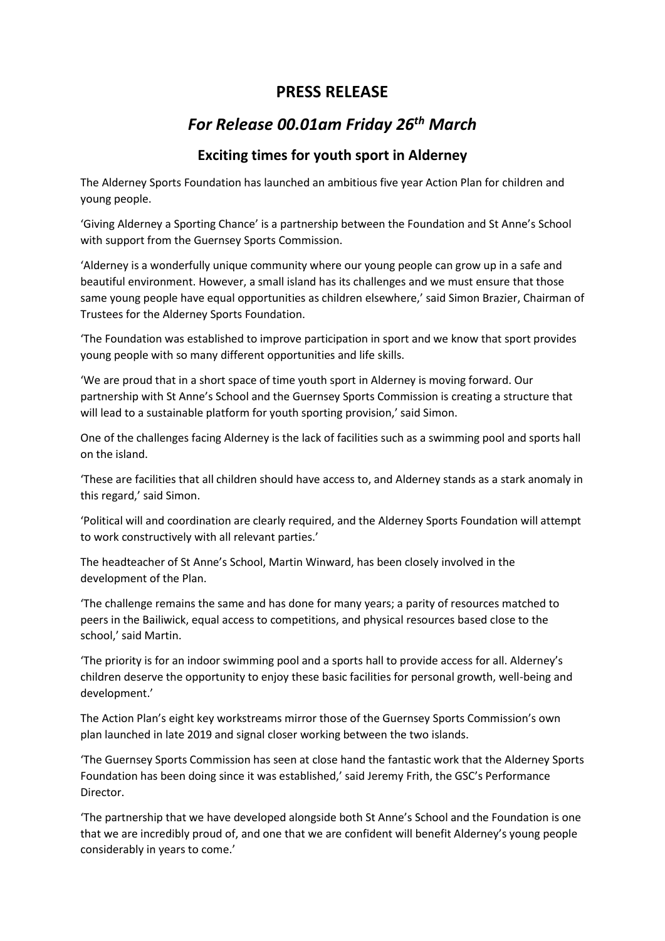## **PRESS RELEASE**

## *For Release 00.01am Friday 26th March*

## **Exciting times for youth sport in Alderney**

The Alderney Sports Foundation has launched an ambitious five year Action Plan for children and young people.

'Giving Alderney a Sporting Chance' is a partnership between the Foundation and St Anne's School with support from the Guernsey Sports Commission.

'Alderney is a wonderfully unique community where our young people can grow up in a safe and beautiful environment. However, a small island has its challenges and we must ensure that those same young people have equal opportunities as children elsewhere,' said Simon Brazier, Chairman of Trustees for the Alderney Sports Foundation.

'The Foundation was established to improve participation in sport and we know that sport provides young people with so many different opportunities and life skills.

'We are proud that in a short space of time youth sport in Alderney is moving forward. Our partnership with St Anne's School and the Guernsey Sports Commission is creating a structure that will lead to a sustainable platform for youth sporting provision,' said Simon.

One of the challenges facing Alderney is the lack of facilities such as a swimming pool and sports hall on the island.

'These are facilities that all children should have access to, and Alderney stands as a stark anomaly in this regard,' said Simon.

'Political will and coordination are clearly required, and the Alderney Sports Foundation will attempt to work constructively with all relevant parties.'

The headteacher of St Anne's School, Martin Winward, has been closely involved in the development of the Plan.

'The challenge remains the same and has done for many years; a parity of resources matched to peers in the Bailiwick, equal access to competitions, and physical resources based close to the school,' said Martin.

'The priority is for an indoor swimming pool and a sports hall to provide access for all. Alderney's children deserve the opportunity to enjoy these basic facilities for personal growth, well-being and development.'

The Action Plan's eight key workstreams mirror those of the Guernsey Sports Commission's own plan launched in late 2019 and signal closer working between the two islands.

'The Guernsey Sports Commission has seen at close hand the fantastic work that the Alderney Sports Foundation has been doing since it was established,' said Jeremy Frith, the GSC's Performance Director.

'The partnership that we have developed alongside both St Anne's School and the Foundation is one that we are incredibly proud of, and one that we are confident will benefit Alderney's young people considerably in years to come.'